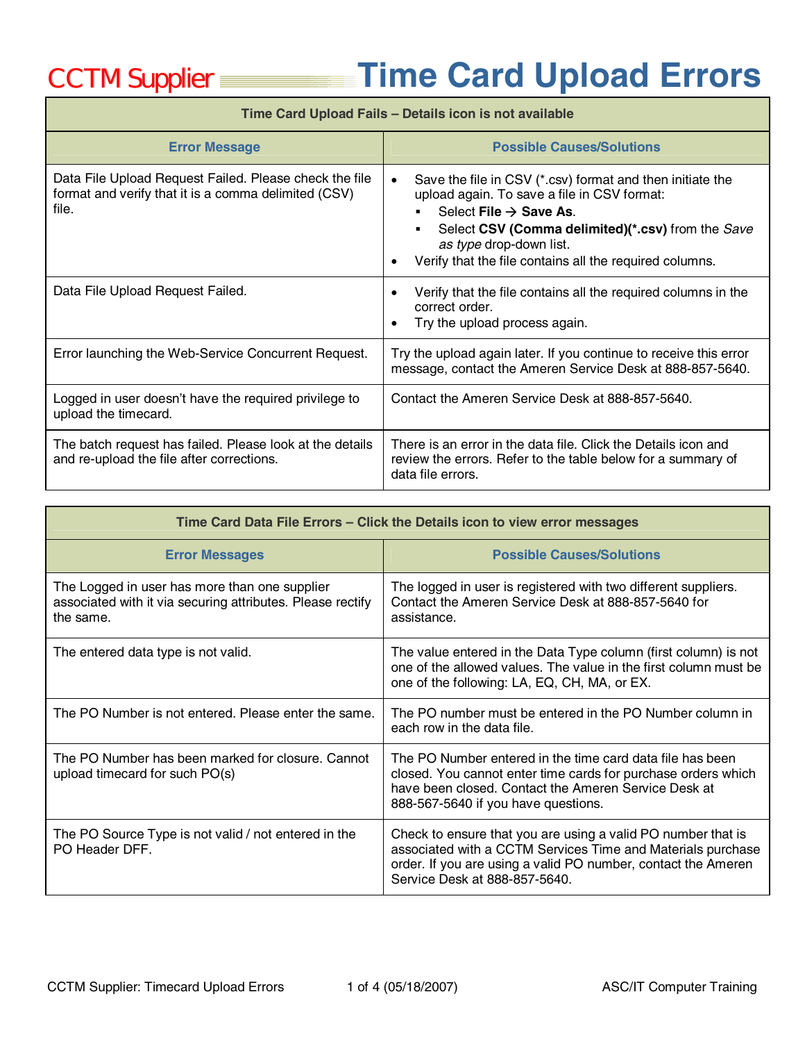## CCTM Supplier **Time Card Upload Errors**

## **Time Card Upload Fails – Details icon is not available**

| <b>Error Message</b>                                                                                                    | <b>Possible Causes/Solutions</b>                                                                                                                                                                                                                                                          |
|-------------------------------------------------------------------------------------------------------------------------|-------------------------------------------------------------------------------------------------------------------------------------------------------------------------------------------------------------------------------------------------------------------------------------------|
| Data File Upload Request Failed. Please check the file<br>format and verify that it is a comma delimited (CSV)<br>file. | Save the file in CSV (*.csv) format and then initiate the<br>upload again. To save a file in CSV format:<br>Select File $\rightarrow$ Save As.<br>Select CSV (Comma delimited)(*.csv) from the Save<br>as type drop-down list.<br>Verify that the file contains all the required columns. |
| Data File Upload Request Failed.                                                                                        | Verify that the file contains all the required columns in the<br>$\bullet$<br>correct order.<br>Try the upload process again.                                                                                                                                                             |
| Error launching the Web-Service Concurrent Request.                                                                     | Try the upload again later. If you continue to receive this error<br>message, contact the Ameren Service Desk at 888-857-5640.                                                                                                                                                            |
| Logged in user doesn't have the required privilege to<br>upload the timecard.                                           | Contact the Ameren Service Desk at 888-857-5640.                                                                                                                                                                                                                                          |
| The batch request has failed. Please look at the details<br>and re-upload the file after corrections.                   | There is an error in the data file. Click the Details icon and<br>review the errors. Refer to the table below for a summary of<br>data file errors.                                                                                                                                       |

| Time Card Data File Errors - Click the Details icon to view error messages                                               |                                                                                                                                                                                                                               |  |
|--------------------------------------------------------------------------------------------------------------------------|-------------------------------------------------------------------------------------------------------------------------------------------------------------------------------------------------------------------------------|--|
| <b>Error Messages</b>                                                                                                    | <b>Possible Causes/Solutions</b>                                                                                                                                                                                              |  |
| The Logged in user has more than one supplier<br>associated with it via securing attributes. Please rectify<br>the same. | The logged in user is registered with two different suppliers.<br>Contact the Ameren Service Desk at 888-857-5640 for<br>assistance.                                                                                          |  |
| The entered data type is not valid.                                                                                      | The value entered in the Data Type column (first column) is not<br>one of the allowed values. The value in the first column must be<br>one of the following: LA, EQ, CH, MA, or EX.                                           |  |
| The PO Number is not entered. Please enter the same.                                                                     | The PO number must be entered in the PO Number column in<br>each row in the data file.                                                                                                                                        |  |
| The PO Number has been marked for closure. Cannot<br>upload timecard for such PO(s)                                      | The PO Number entered in the time card data file has been<br>closed. You cannot enter time cards for purchase orders which<br>have been closed. Contact the Ameren Service Desk at<br>888-567-5640 if you have questions.     |  |
| The PO Source Type is not valid / not entered in the<br>PO Header DFF.                                                   | Check to ensure that you are using a valid PO number that is<br>associated with a CCTM Services Time and Materials purchase<br>order. If you are using a valid PO number, contact the Ameren<br>Service Desk at 888-857-5640. |  |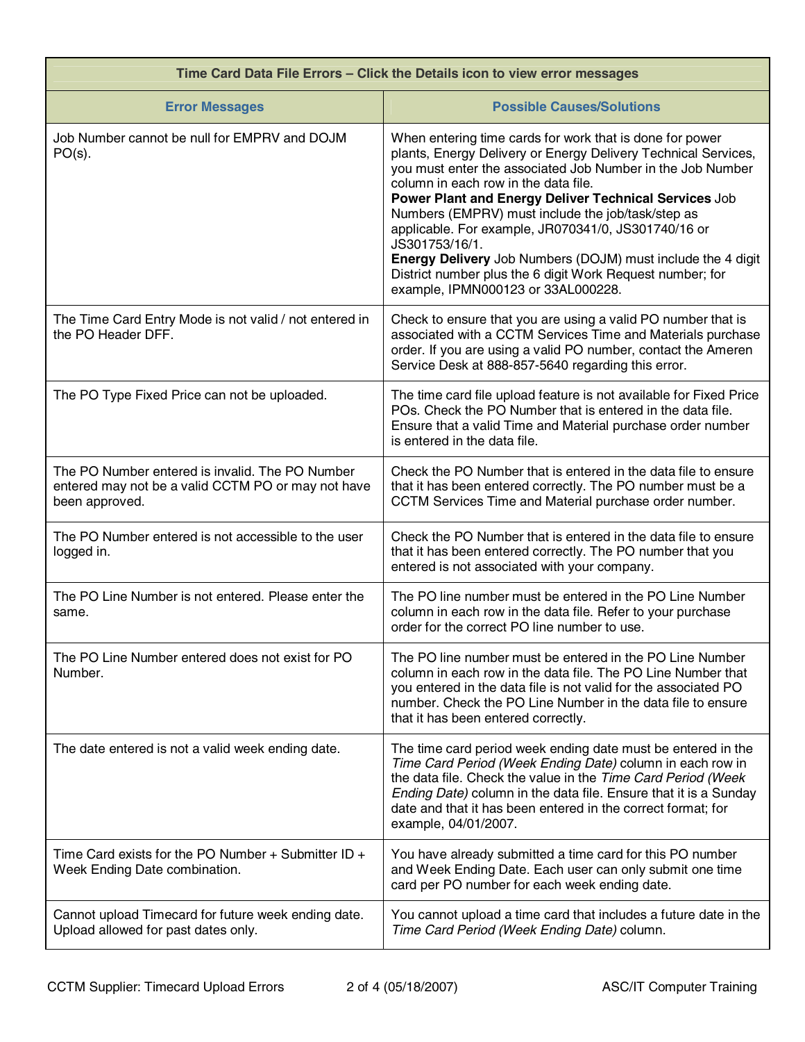| Time Card Data File Errors - Click the Details icon to view error messages                                              |                                                                                                                                                                                                                                                                                                                                                                                                                                                                                                                                                                                                  |  |
|-------------------------------------------------------------------------------------------------------------------------|--------------------------------------------------------------------------------------------------------------------------------------------------------------------------------------------------------------------------------------------------------------------------------------------------------------------------------------------------------------------------------------------------------------------------------------------------------------------------------------------------------------------------------------------------------------------------------------------------|--|
| <b>Error Messages</b>                                                                                                   | <b>Possible Causes/Solutions</b>                                                                                                                                                                                                                                                                                                                                                                                                                                                                                                                                                                 |  |
| Job Number cannot be null for EMPRV and DOJM<br>$PO(s)$ .                                                               | When entering time cards for work that is done for power<br>plants, Energy Delivery or Energy Delivery Technical Services,<br>you must enter the associated Job Number in the Job Number<br>column in each row in the data file.<br>Power Plant and Energy Deliver Technical Services Job<br>Numbers (EMPRV) must include the job/task/step as<br>applicable. For example, JR070341/0, JS301740/16 or<br>JS301753/16/1.<br><b>Energy Delivery</b> Job Numbers (DOJM) must include the 4 digit<br>District number plus the 6 digit Work Request number; for<br>example, IPMN000123 or 33AL000228. |  |
| The Time Card Entry Mode is not valid / not entered in<br>the PO Header DFF.                                            | Check to ensure that you are using a valid PO number that is<br>associated with a CCTM Services Time and Materials purchase<br>order. If you are using a valid PO number, contact the Ameren<br>Service Desk at 888-857-5640 regarding this error.                                                                                                                                                                                                                                                                                                                                               |  |
| The PO Type Fixed Price can not be uploaded.                                                                            | The time card file upload feature is not available for Fixed Price<br>POs. Check the PO Number that is entered in the data file.<br>Ensure that a valid Time and Material purchase order number<br>is entered in the data file.                                                                                                                                                                                                                                                                                                                                                                  |  |
| The PO Number entered is invalid. The PO Number<br>entered may not be a valid CCTM PO or may not have<br>been approved. | Check the PO Number that is entered in the data file to ensure<br>that it has been entered correctly. The PO number must be a<br>CCTM Services Time and Material purchase order number.                                                                                                                                                                                                                                                                                                                                                                                                          |  |
| The PO Number entered is not accessible to the user<br>logged in.                                                       | Check the PO Number that is entered in the data file to ensure<br>that it has been entered correctly. The PO number that you<br>entered is not associated with your company.                                                                                                                                                                                                                                                                                                                                                                                                                     |  |
| The PO Line Number is not entered. Please enter the<br>same.                                                            | The PO line number must be entered in the PO Line Number<br>column in each row in the data file. Refer to your purchase<br>order for the correct PO line number to use.                                                                                                                                                                                                                                                                                                                                                                                                                          |  |
| The PO Line Number entered does not exist for PO<br>Number.                                                             | The PO line number must be entered in the PO Line Number<br>column in each row in the data file. The PO Line Number that<br>you entered in the data file is not valid for the associated PO<br>number. Check the PO Line Number in the data file to ensure<br>that it has been entered correctly.                                                                                                                                                                                                                                                                                                |  |
| The date entered is not a valid week ending date.                                                                       | The time card period week ending date must be entered in the<br>Time Card Period (Week Ending Date) column in each row in<br>the data file. Check the value in the Time Card Period (Week<br>Ending Date) column in the data file. Ensure that it is a Sunday<br>date and that it has been entered in the correct format; for<br>example, 04/01/2007.                                                                                                                                                                                                                                            |  |
| Time Card exists for the PO Number $+$ Submitter ID $+$<br>Week Ending Date combination.                                | You have already submitted a time card for this PO number<br>and Week Ending Date. Each user can only submit one time<br>card per PO number for each week ending date.                                                                                                                                                                                                                                                                                                                                                                                                                           |  |
| Cannot upload Timecard for future week ending date.<br>Upload allowed for past dates only.                              | You cannot upload a time card that includes a future date in the<br>Time Card Period (Week Ending Date) column.                                                                                                                                                                                                                                                                                                                                                                                                                                                                                  |  |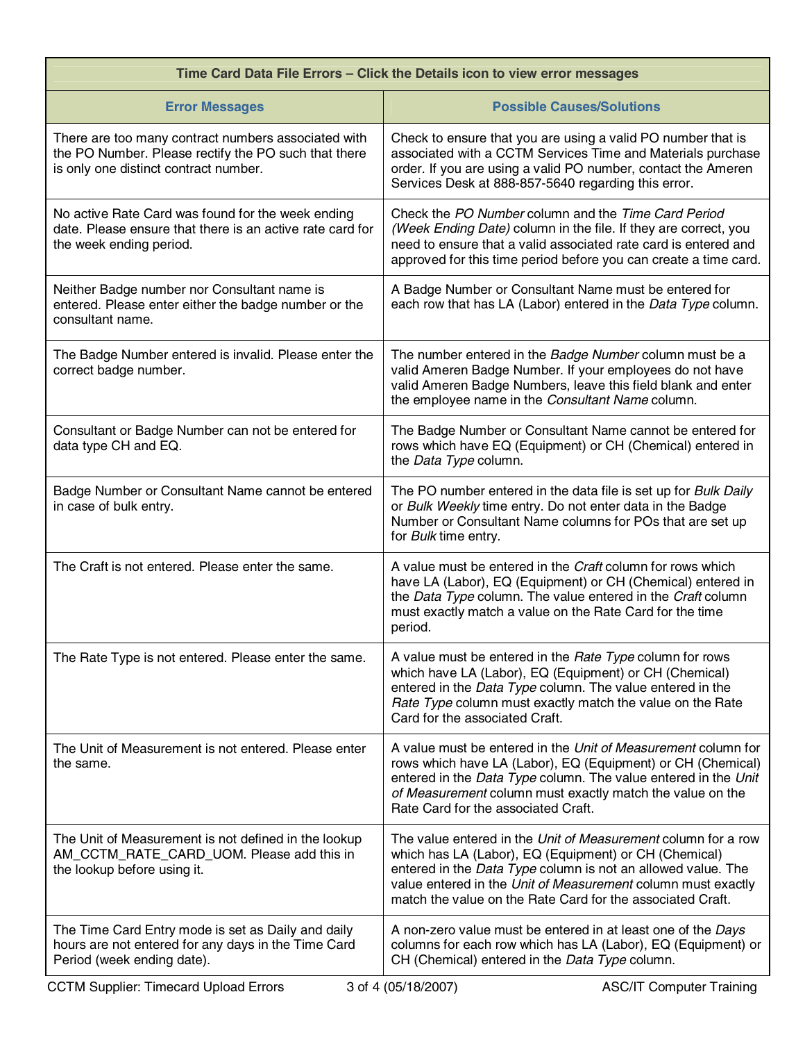| Time Card Data File Errors - Click the Details icon to view error messages                                                                           |                                                                                                                                                                                                                                                                                                                      |  |
|------------------------------------------------------------------------------------------------------------------------------------------------------|----------------------------------------------------------------------------------------------------------------------------------------------------------------------------------------------------------------------------------------------------------------------------------------------------------------------|--|
| <b>Error Messages</b>                                                                                                                                | <b>Possible Causes/Solutions</b>                                                                                                                                                                                                                                                                                     |  |
| There are too many contract numbers associated with<br>the PO Number. Please rectify the PO such that there<br>is only one distinct contract number. | Check to ensure that you are using a valid PO number that is<br>associated with a CCTM Services Time and Materials purchase<br>order. If you are using a valid PO number, contact the Ameren<br>Services Desk at 888-857-5640 regarding this error.                                                                  |  |
| No active Rate Card was found for the week ending<br>date. Please ensure that there is an active rate card for<br>the week ending period.            | Check the PO Number column and the Time Card Period<br>(Week Ending Date) column in the file. If they are correct, you<br>need to ensure that a valid associated rate card is entered and<br>approved for this time period before you can create a time card.                                                        |  |
| Neither Badge number nor Consultant name is<br>entered. Please enter either the badge number or the<br>consultant name.                              | A Badge Number or Consultant Name must be entered for<br>each row that has LA (Labor) entered in the Data Type column.                                                                                                                                                                                               |  |
| The Badge Number entered is invalid. Please enter the<br>correct badge number.                                                                       | The number entered in the Badge Number column must be a<br>valid Ameren Badge Number. If your employees do not have<br>valid Ameren Badge Numbers, leave this field blank and enter<br>the employee name in the Consultant Name column.                                                                              |  |
| Consultant or Badge Number can not be entered for<br>data type CH and EQ.                                                                            | The Badge Number or Consultant Name cannot be entered for<br>rows which have EQ (Equipment) or CH (Chemical) entered in<br>the Data Type column.                                                                                                                                                                     |  |
| Badge Number or Consultant Name cannot be entered<br>in case of bulk entry.                                                                          | The PO number entered in the data file is set up for Bulk Daily<br>or Bulk Weekly time entry. Do not enter data in the Badge<br>Number or Consultant Name columns for POs that are set up<br>for Bulk time entry.                                                                                                    |  |
| The Craft is not entered. Please enter the same.                                                                                                     | A value must be entered in the Craft column for rows which<br>have LA (Labor), EQ (Equipment) or CH (Chemical) entered in<br>the Data Type column. The value entered in the Craft column<br>must exactly match a value on the Rate Card for the time<br>period.                                                      |  |
| The Rate Type is not entered. Please enter the same.                                                                                                 | A value must be entered in the Rate Type column for rows<br>which have LA (Labor), EQ (Equipment) or CH (Chemical)<br>entered in the Data Type column. The value entered in the<br>Rate Type column must exactly match the value on the Rate<br>Card for the associated Craft.                                       |  |
| The Unit of Measurement is not entered. Please enter<br>the same.                                                                                    | A value must be entered in the Unit of Measurement column for<br>rows which have LA (Labor), EQ (Equipment) or CH (Chemical)<br>entered in the Data Type column. The value entered in the Unit<br>of Measurement column must exactly match the value on the<br>Rate Card for the associated Craft.                   |  |
| The Unit of Measurement is not defined in the lookup<br>AM_CCTM_RATE_CARD_UOM. Please add this in<br>the lookup before using it.                     | The value entered in the Unit of Measurement column for a row<br>which has LA (Labor), EQ (Equipment) or CH (Chemical)<br>entered in the Data Type column is not an allowed value. The<br>value entered in the Unit of Measurement column must exactly<br>match the value on the Rate Card for the associated Craft. |  |
| The Time Card Entry mode is set as Daily and daily<br>hours are not entered for any days in the Time Card<br>Period (week ending date).              | A non-zero value must be entered in at least one of the Days<br>columns for each row which has LA (Labor), EQ (Equipment) or<br>CH (Chemical) entered in the Data Type column.                                                                                                                                       |  |